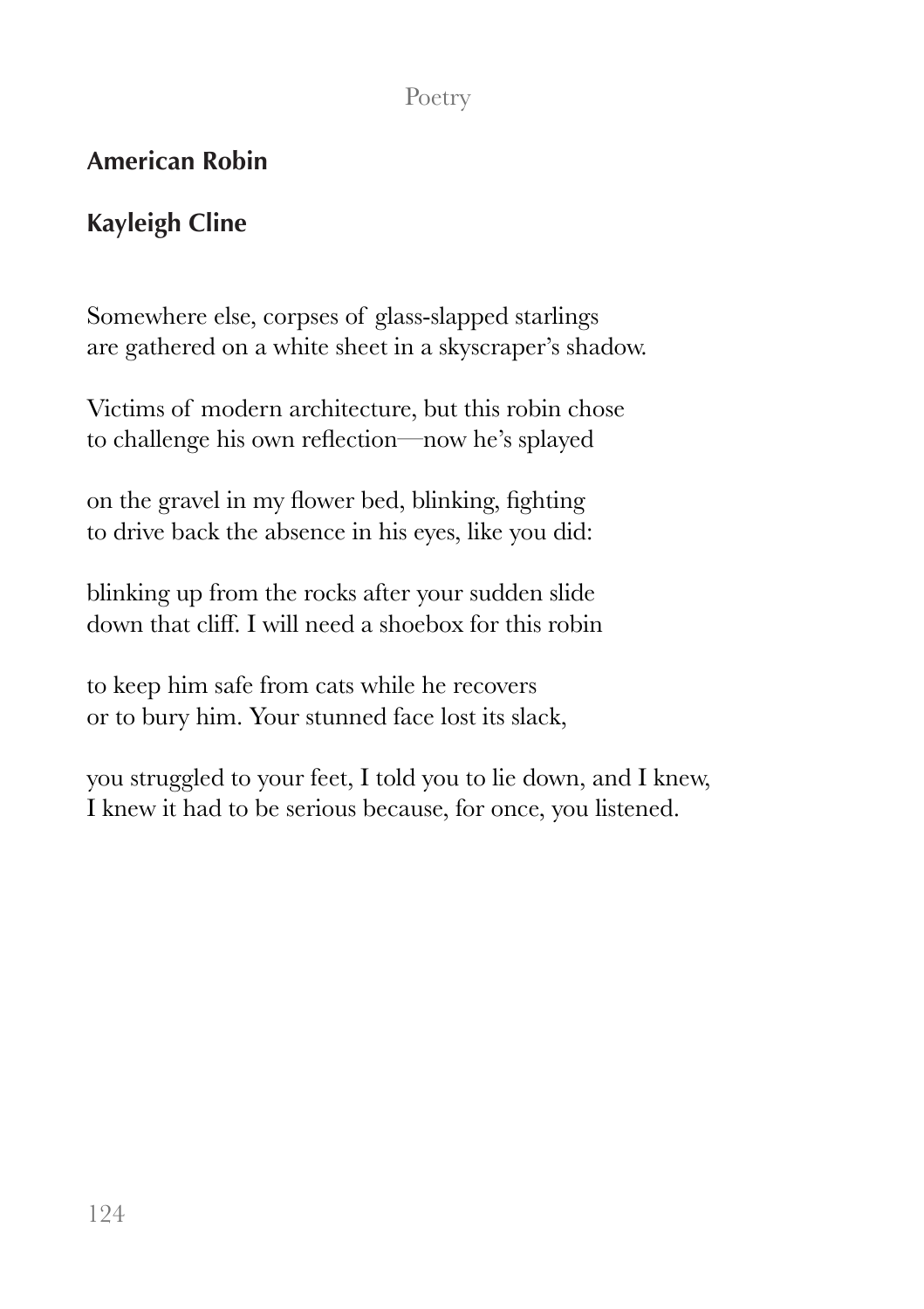## Poetry

## **American Robin**

## **Kayleigh Cline**

Somewhere else, corpses of glass-slapped starlings are gathered on a white sheet in a skyscraper's shadow.

Victims of modern architecture, but this robin chose to challenge his own reflection—now he's splayed

on the gravel in my flower bed, blinking, fighting to drive back the absence in his eyes, like you did:

blinking up from the rocks after your sudden slide down that cliff. I will need a shoebox for this robin

to keep him safe from cats while he recovers or to bury him. Your stunned face lost its slack,

you struggled to your feet, I told you to lie down, and I knew, I knew it had to be serious because, for once, you listened.